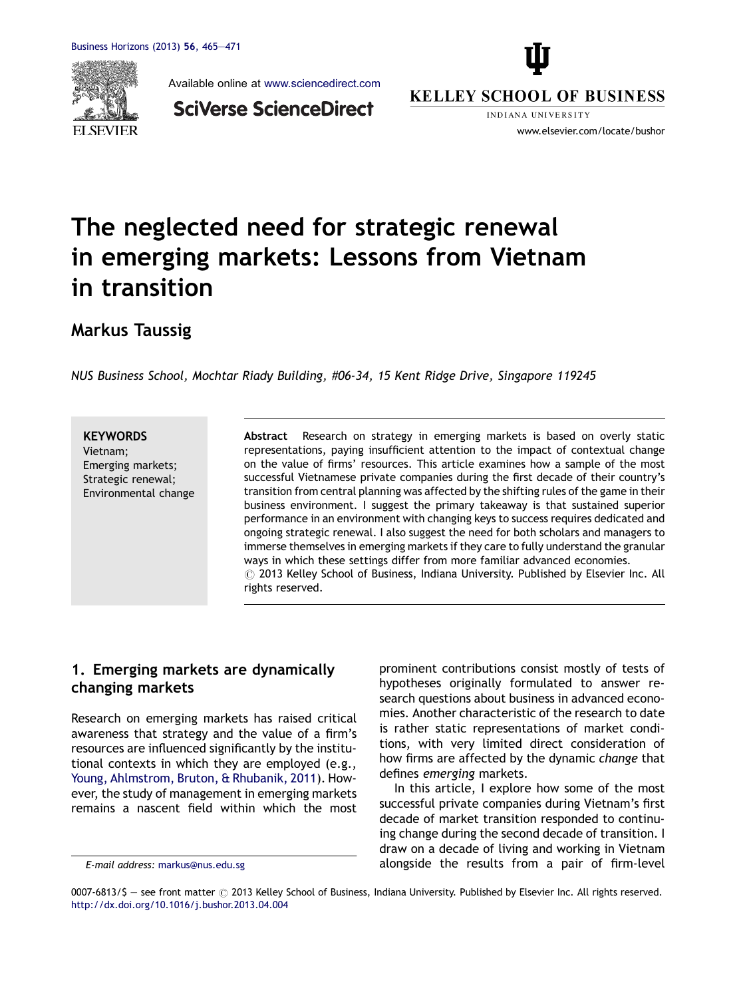

Available online at [www.sciencedirect.com](http://www.sciencedirect.com/science/journal/00076813)



**SciVerse ScienceDirect** 

**KELLEY SCHOOL OF BUSINESS INDIANA HNIVERSITY** 

www.elsevier.com/locate/bushor

# The neglected need for strategic renewal in emerging markets: Lessons from Vietnam in transition

Markus Taussig

NUS Business School, Mochtar Riady Building, #06-34, 15 Kent Ridge Drive, Singapore 119245

**KEYWORDS** 

Vietnam; Emerging markets; Strategic renewal; Environmental change

Abstract Research on strategy in emerging markets is based on overly static representations, paying insufficient attention to the impact of contextual change on the value of firms' resources. This article examines how a sample of the most successful Vietnamese private companies during the first decade of their country's transition from central planning was affected by the shifting rules of the game in their business environment. I suggest the primary takeaway is that sustained superior performance in an environment with changing keys to success requires dedicated and ongoing strategic renewal. I also suggest the need for both scholars and managers to immerse themselves in emerging markets if they care to fully understand the granular ways in which these settings differ from more familiar advanced economies.  $\circled{c}$  2013 Kelley School of Business, Indiana University. Published by Elsevier Inc. All rights reserved.

## 1. Emerging markets are dynamically changing markets

Research on emerging markets has raised critical awareness that strategy and the value of a firm's resources are influenced significantly by the institutional contexts in which they are employed (e.g., Young, [Ahlmstrom,](#page--1-0) Bruton, & Rhubanik, 2011). However, the study of management in emerging markets remains a nascent field within which the most prominent contributions consist mostly of tests of hypotheses originally formulated to answer research questions about business in advanced economies. Another characteristic of the research to date is rather static representations of market conditions, with very limited direct consideration of how firms are affected by the dynamic change that defines emerging markets.

In this article, I explore how some of the most successful private companies during Vietnam's first decade of market transition responded to continuing change during the second decade of transition. I draw on a decade of living and working in Vietnam alongside the results from a pair of firm-level

E-mail address: [markus@nus.edu.sg](mailto:markus@nus.edu.sg)

<sup>0007-6813/\$ -</sup> see front matter @ 2013 Kelley School of Business, Indiana University. Published by Elsevier Inc. All rights reserved. <http://dx.doi.org/10.1016/j.bushor.2013.04.004>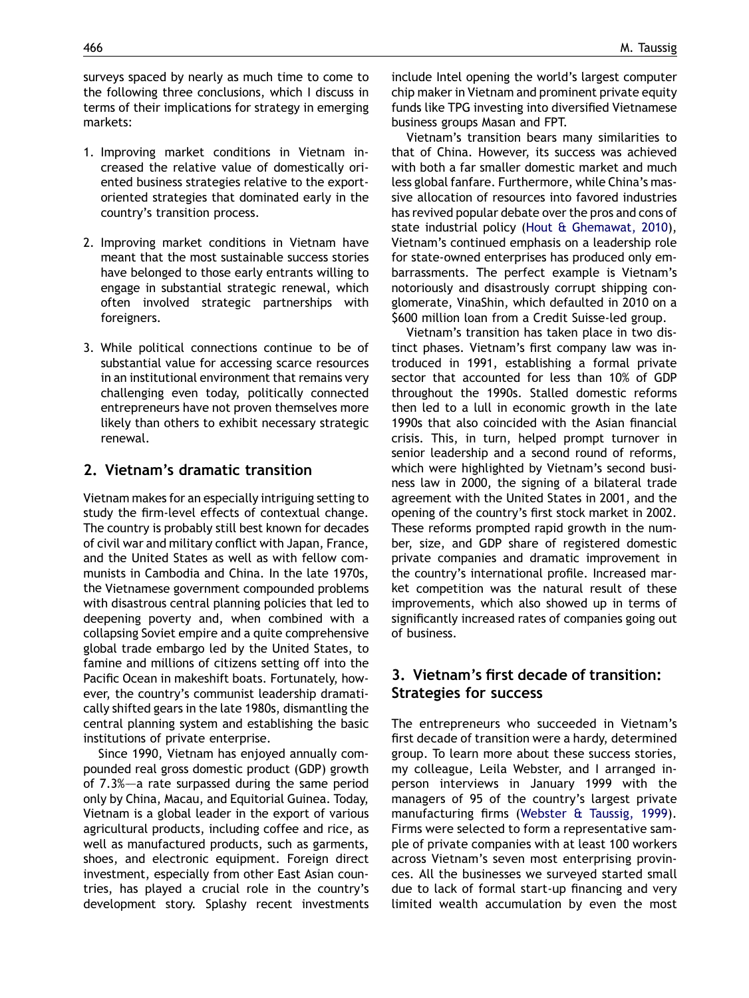surveys spaced by nearly as much time to come to the following three conclusions, which I discuss in terms of their implications for strategy in emerging markets:

- 1. Improving market conditions in Vietnam increased the relative value of domestically oriented business strategies relative to the exportoriented strategies that dominated early in the country's transition process.
- 2. Improving market conditions in Vietnam have meant that the most sustainable success stories have belonged to those early entrants willing to engage in substantial strategic renewal, which often involved strategic partnerships with foreigners.
- 3. While political connections continue to be of substantial value for accessing scarce resources in an institutional environment that remains very challenging even today, politically connected entrepreneurs have not proven themselves more likely than others to exhibit necessary strategic renewal.

#### 2. Vietnam's dramatic transition

Vietnam makes for an especially intriguing setting to study the firm-level effects of contextual change. The country is probably still best known for decades of civil war and military conflict with Japan, France, and the United States as well as with fellow communists in Cambodia and China. In the late 1970s, the Vietnamese government compounded problems with disastrous central planning policies that led to deepening poverty and, when combined with a collapsing Soviet empire and a quite comprehensive global trade embargo led by the United States, to famine and millions of citizens setting off into the Pacific Ocean in makeshift boats. Fortunately, however, the country's communist leadership dramatically shifted gears in the late 1980s, dismantling the central planning system and establishing the basic institutions of private enterprise.

Since 1990, Vietnam has enjoyed annually compounded real gross domestic product (GDP) growth of 7.3%–—a rate surpassed during the same period only by China, Macau, and Equitorial Guinea. Today, Vietnam is a global leader in the export of various agricultural products, including coffee and rice, as well as manufactured products, such as garments, shoes, and electronic equipment. Foreign direct investment, especially from other East Asian countries, has played a crucial role in the country's development story. Splashy recent investments include Intel opening the world's largest computer chip maker in Vietnam and prominent private equity funds like TPG investing into diversified Vietnamese business groups Masan and FPT.

Vietnam's transition bears many similarities to that of China. However, its success was achieved with both a far smaller domestic market and much less global fanfare. Furthermore, while China's massive allocation of resources into favored industries has revived popular debate over the pros and cons of state industrial policy (Hout & [Ghemawat,](#page--1-0) 2010), Vietnam's continued emphasis on a leadership role for state-owned enterprises has produced only embarrassments. The perfect example is Vietnam's notoriously and disastrously corrupt shipping conglomerate, VinaShin, which defaulted in 2010 on a \$600 million loan from a Credit Suisse-led group.

Vietnam's transition has taken place in two distinct phases. Vietnam's first company law was introduced in 1991, establishing a formal private sector that accounted for less than 10% of GDP throughout the 1990s. Stalled domestic reforms then led to a lull in economic growth in the late 1990s that also coincided with the Asian financial crisis. This, in turn, helped prompt turnover in senior leadership and a second round of reforms, which were highlighted by Vietnam's second business law in 2000, the signing of a bilateral trade agreement with the United States in 2001, and the opening of the country's first stock market in 2002. These reforms prompted rapid growth in the number, size, and GDP share of registered domestic private companies and dramatic improvement in the country's international profile. Increased market competition was the natural result of these improvements, which also showed up in terms of significantly increased rates of companies going out of business.

### 3. Vietnam's first decade of transition: Strategies for success

The entrepreneurs who succeeded in Vietnam's first decade of transition were a hardy, determined group. To learn more about these success stories, my colleague, Leila Webster, and I arranged inperson interviews in January 1999 with the managers of 95 of the country's largest private manufacturing firms ([Webster](#page--1-0) & Taussig, 1999). Firms were selected to form a representative sample of private companies with at least 100 workers across Vietnam's seven most enterprising provinces. All the businesses we surveyed started small due to lack of formal start-up financing and very limited wealth accumulation by even the most